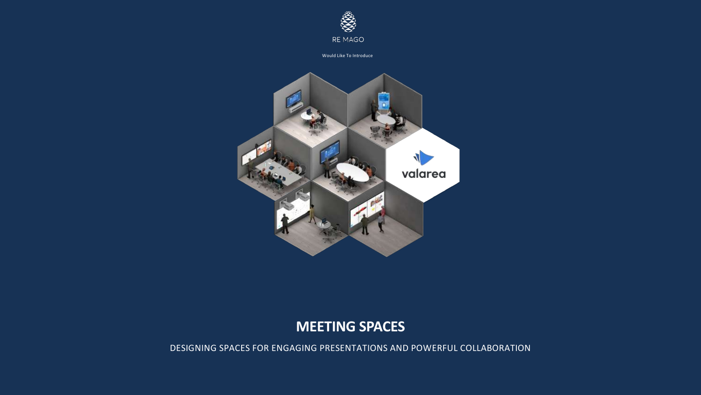

Would Like To Introduce



# **MEETING SPACES**

DESIGNING SPACES FOR ENGAGING PRESENTATIONS AND POWERFUL COLLABORATION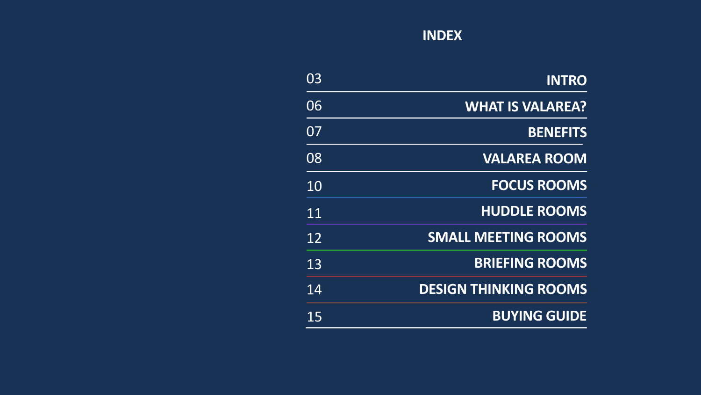# **INDEX**

| <b>INTRO</b>                 | 03              |
|------------------------------|-----------------|
| <b>WHAT IS VALAREA?</b>      | 06              |
| <b>BENEFITS</b>              | 07              |
| <b>VALAREA ROOM</b>          | 08              |
| <b>FOCUS ROOMS</b>           | 10              |
| <b>HUDDLE ROOMS</b>          | $1\overline{1}$ |
| <b>SMALL MEETING ROOMS</b>   | $\overline{1}2$ |
| <b>BRIEFING ROOMS</b>        | 13              |
| <b>DESIGN THINKING ROOMS</b> | 14              |
| <b>BUYING GUIDE</b>          | 15              |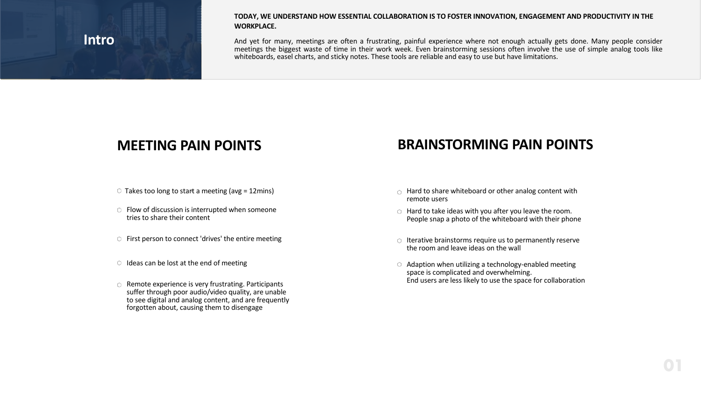# **Intro**

#### **TODAY, WE UNDERSTAND HOW ESSENTIAL COLLABORATION IS TO FOSTER INNOVATION, ENGAGEMENT AND PRODUCTIVITY IN THE WORKPLACE.**

And yet for many, meetings are often a frustrating, painful experience where not enough actually gets done. Many people consider meetings the biggest waste of time in their work week. Even brainstorming sessions often involve the use of simple analog tools like whiteboards, easel charts, and sticky notes. These tools are reliable and easy to use but have limitations.

- 
- $\circ$  Flow of discussion is interrupted when someone tries to share their content
- $\circ$  First person to connect 'drives' the entire meeting
- $\circ$  Ideas can be lost at the end of meeting
- $\circ$  Remote experience is very frustrating. Participants suffer through poor audio/video quality, are unable to see digital and analog content, and are frequently forgotten about, causing them to disengage

# **MEETING PAIN POINTS BRAINSTORMING PAIN POINTS**

- $\circ$  Takes too long to start a meeting (avg = 12mins)  $\circ$  Hard to share whiteboard or other analog content with remote users
	- Hard to take ideas with you after you leave the room. People snap a photo of the whiteboard with their phone
	- $\circ$  Iterative brainstorms require us to permanently reserve the room and leave ideas on the wall
	- $\circ$  Adaption when utilizing a technology-enabled meeting space is complicated and overwhelming. End users are less likely to use the space for collaboration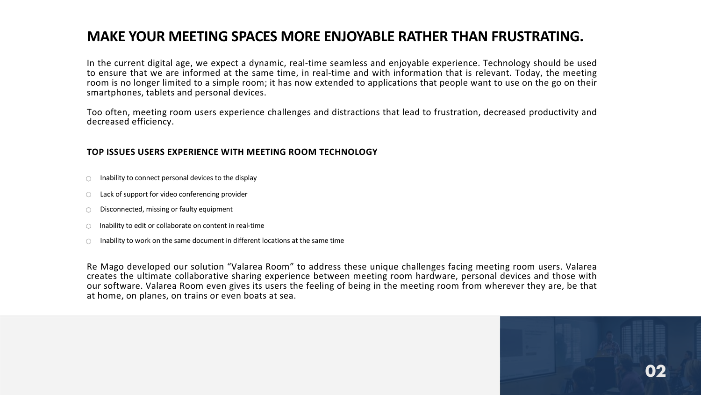# **MAKE YOUR MEETING SPACES MORE ENJOYABLE RATHER THAN FRUSTRATING.**

In the current digital age, we expect a dynamic, real-time seamless and enjoyable experience. Technology should be used to ensure that we are informed at the same time, in real-time and with information that is relevant. Today, the meeting room is no longer limited to a simple room; it has now extended to applications that people want to use on the go on their smartphones, tablets and personal devices.

Too often, meeting room users experience challenges and distractions that lead to frustration, decreased productivity and decreased efficiency.

### **TOP ISSUES USERS EXPERIENCE WITH MEETING ROOM TECHNOLOGY**

- Inability to connect personal devices to the display 0.
- Lack of support for video conferencing provider  $\circ$
- Disconnected, missing or faulty equipment 0
- Inability to edit or collaborate on content in real-time 0.
- Inability to work on the same document in different locations at the same time Ò.

Re Mago developed our solution "Valarea Room" to address these unique challenges facing meeting room users. Valarea creates the ultimate collaborative sharing experience between meeting room hardware, personal devices and those with our software. Valarea Room even gives its users the feeling of being in the meeting room from wherever they are, be that at home, on planes, on trains or even boats at sea.

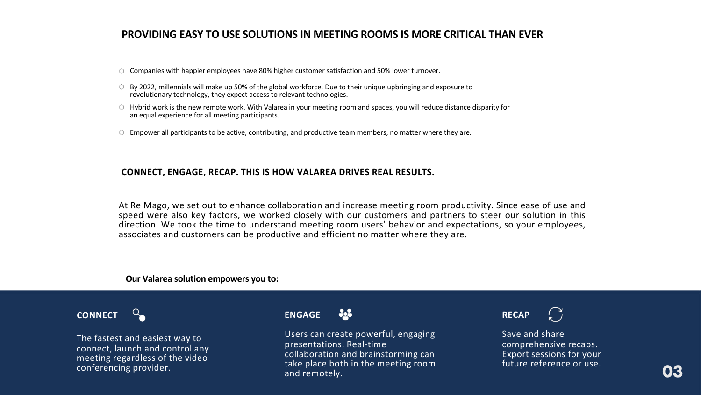### **PROVIDING EASY TO USE SOLUTIONS IN MEETING ROOMS IS MORE CRITICAL THAN EVER**

- Companies with happier employees have 80% higher customer satisfaction and 50% lower turnover.
- By 2022, millennials will make up 50% of the global workforce. Due to their unique upbringing and exposure to revolutionary technology, they expect access to relevant technologies.
- $\circ$  Hybrid work is the new remote work. With Valarea in your meeting room and spaces, you will reduce distance disparity for an equal experience for all meeting participants.
- $\circ$  Empower all participants to be active, contributing, and productive team members, no matter where they are.

#### **CONNECT, ENGAGE, RECAP. THIS IS HOW VALAREA DRIVES REAL RESULTS.**

At Re Mago, we set out to enhance collaboration and increase meeting room productivity. Since ease of use and speed were also key factors, we worked closely with our customers and partners to steer our solution in this direction. We took the time to understand meeting room users' behavior and expectations, so your employees, associates and customers can be productive and efficient no matter where they are.

#### **Our Valarea solution empowers you to:**



The fastest and easiest way to connect, launch and control any meeting regardless of the video conferencing provider.

#### è, **ENGAGE**

Users can create powerful, engaging presentations. Real-time collaboration and brainstorming can take place both in the meeting room and remotely.



Save and share comprehensive recaps. Export sessions for your future reference or use.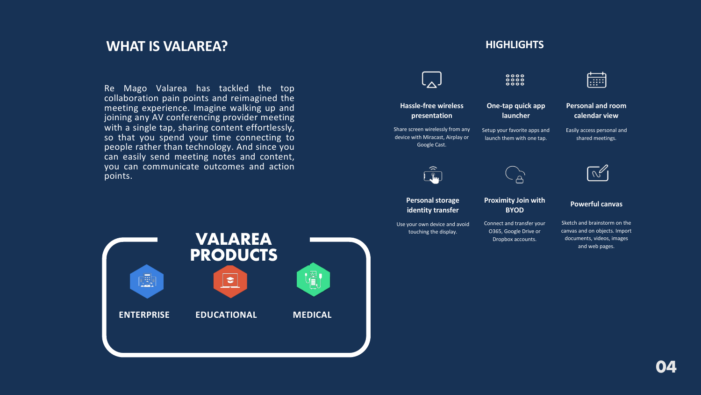## **WHAT IS VALAREA? HIGHLIGHTS**

Re Mago Valarea has tackled the top collaboration pain points and reimagined the meeting experience. Imagine walking up and joining any AV conferencing provider meeting with a single tap, sharing content effortlessly, so that you spend your time connecting to people rather than technology. And since you can easily send meeting notes and content, you can communicate outcomes and action points.



#### $00000$ 扁 **Hassle-free wireless One-tap quick app Personal and room presentation launcher calendar view** Share screen wirelessly from any Setup your favorite apps and Easily access personal and device with Miracast, Airplay or launch them with one tap. shared meetings. Google Cast.  $\hat{ }$  $\mathbb{R}^{\mathbb{Z}}$ l <u>n.</u> **Personal storage Proximity Join with Powerful canvas identity transfer BYOD** Sketch and brainstorm on the Use your own device and avoid Connect and transfer your O365, Google Drive or canvas and on objects. Import touching the display. documents, videos, images Dropbox accounts. and web pages.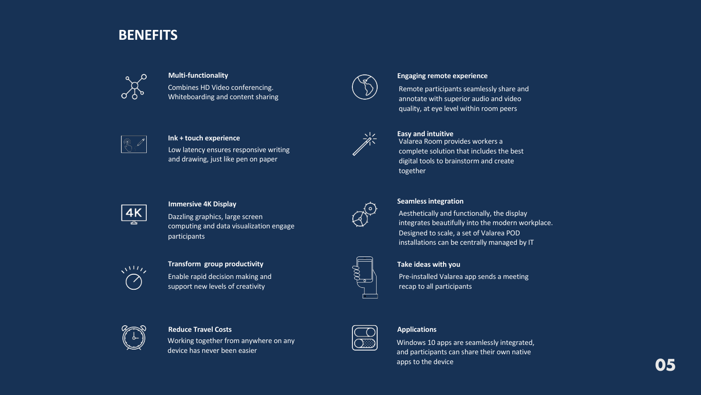# **BENEFITS**



Combines HD Video conferencing. Whiteboarding and content sharing



#### **Ink + touch experience**

Low latency ensures responsive writing and drawing, just like pen on paper



#### **Immersive 4K Display**

Dazzling graphics, large screen computing and data visualization engage participants



#### **Transform group productivity**

Enable rapid decision making and support new levels of creativity



#### **Reduce Travel Costs**

Working together from anywhere on any device has never been easier



#### **Multi-functionality Engaging remote experience**

Remote participants seamlessly share and annotate with superior audio and video quality, at eye level within room peers



#### **Easy and intuitive**

Valarea Room provides workers a complete solution that includes the best digital tools to brainstorm and create together



#### **Seamless integration**

Aesthetically and functionally, the display integrates beautifully into the modern workplace. Designed to scale, a set of Valarea POD installations can be centrally managed by IT



#### **Take ideas with you**

Pre-installed Valarea app sends a meeting recap to all participants

#### **Applications**

Windows 10 apps are seamlessly integrated, and participants can share their own native apps to the device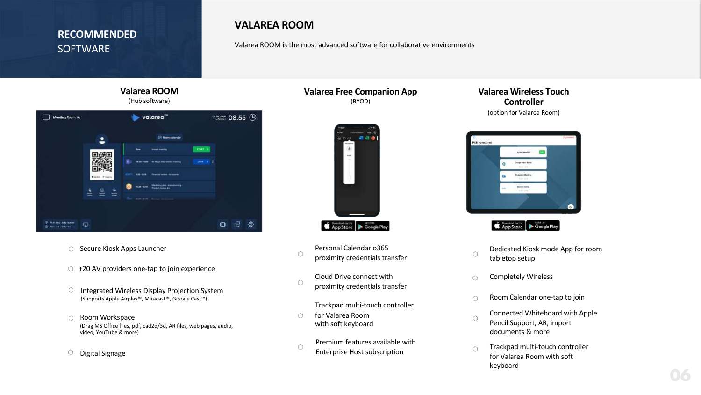### **RECOMMENDED SOFTWARE**

### **VALAREA ROOM**

Valarea ROOM is the most advanced software for collaborative environments

**Valarea Free Companion App** (BYOD)



Personal Calendar o365 proximity credentials transfer

0

Cloud Drive connect with 0 proximity credentials transfer

Trackpad multi-touch controller

- O. for Valarea Room with soft keyboard
- Premium features available with  $\circ$ Enterprise Host subscription

### **Valarea Wireless Touch Controller** (option for Valarea Room)



App Store Coogle Play

- Dedicated Kiosk mode App for room  $\circ$ tabletop setup
- Completely Wireless Ó
- Room Calendar one-tap to join Ō
- Connected Whiteboard with Apple Ó Pencil Support, AR, import documents & more
- Trackpad multi-touch controller  $\cap$ for Valarea Room with soft keyboard

### **Valarea ROOM** (Hub software)



- Secure Kiosk Apps Launcher
- $\circ$  +20 AV providers one-tap to join experience
- 0. Integrated Wireless Display Projection System (Supports Apple Airplay™, Miracast™, Google Cast™)
- Room Workspace O. (Drag MS Office files, pdf, cad2d/3d, AR files, web pages, audio, video, YouTube & more)
- Digital Signage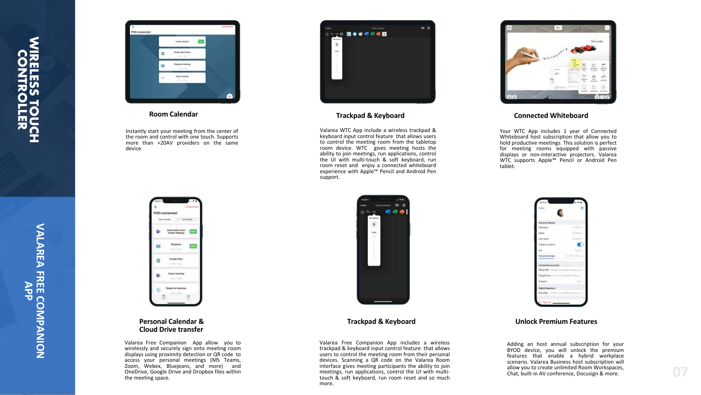

#### **Room Calendar**

Instantly start your meeting from the center of the room and control with one touch . Supports more than +20AV providers on the same device.



#### **Personal Calendar & Cloud Drive transfer**

Valarea Free Companion App allow you to wirelessly and securely sign onto meeting room displays using proximity detection or QR code to access your personal meetings (MS Teams, Zoom, Webex, Bluejeans, and more) and OneDrive, Google Drive and Dropbox files within the meeting space .



#### **Trackpad & Keyboard**

Valarea WTC App include a wireless trackpad & keyboard input control feature that allows users to control the meeting room from the tabletop room device . WTC gives meeting hosts the ability to join meetings, run applications, control the UI with multi -touch & soft keyboard, run room reset and enjoy a connected whiteboard experience with Apple ™ Pencil and Android Pen support .



#### **Trackpad**

Valarea Free Companion App includes a wireless trackpad & keyboard input control feature that allows users to control the meeting room from their personal devices . Scanning a QR code on the Valarea Room interface gives meeting participants the ability to join meetings, run applications, control the UI with multi touch & soft keyboard, run room reset and so much more .



#### **Connected Whiteboard**

Your WTC App includes 1 year of Connected Whiteboard host subscription that allow you to hold productive meetings. This solution is perfect for meeting rooms equipped with passive displays or non -interactive projectors . Valarea WTC supports Apple ™ Pencil or Android Pen tablet .



#### **& Keyboard Unlock Premium Features**

Adding an host annual subscription for your BYOD device, you will unlock the premium features that enable a hybrid workplace scenario . Valarea Business host subscription will allow you to create unlimited Room Workspaces, Chat, built -in AV conference, Docusign & more .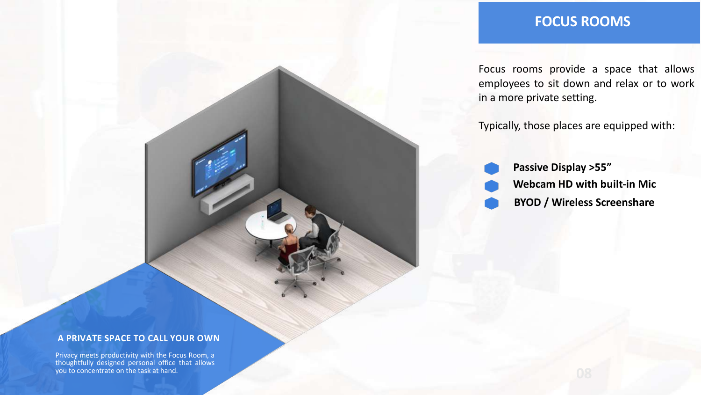# **FOCUS ROOMS**

Focus rooms provide a space that allows employees to sit down and relax or to work in a more private setting.

Typically, those places are equipped with:

**Passive Display >55" Webcam HD with built-in Mic BYOD / Wireless Screenshare**

#### **A PRIVATE SPACE TO CALL YOUR OWN**

Privacy meets productivity with the Focus Room, a thoughtfully designed personal office that allows you to concentrate on the task at hand.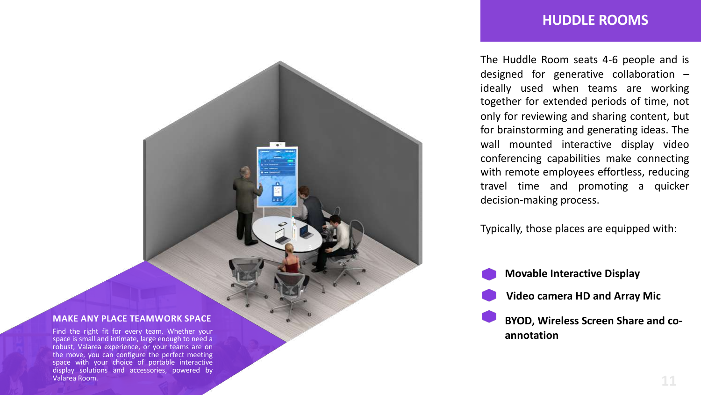### **HUDDLE ROOMS**

The Huddle Room seats 4 - 6 people and is designed for generative collaboration – ideally used when teams are working together for extended periods of time, not only for reviewing and sharing content, but for brainstorming and generating ideas . The wall mounted interactive display video conferencing capabilities make connecting with remote employees effortless, reducing travel time and promoting a quicker decision -making process .

Typically, those places are equipped with :

**Movable Interactive Display**



**Video camera HD and Array Mic**

**BYOD, Wireless Screen Share and co annotation**

#### **MAKE ANY PLACE TEAMWORK SPACE**

3

Find the right fit for every team . Whether your space is small and intimate, large enough to need a robust, Valarea experience, or your teams are on the move, you can configure the perfect meeting space with your choice of portable interactive display solutions and accessories, powered by Valarea Room .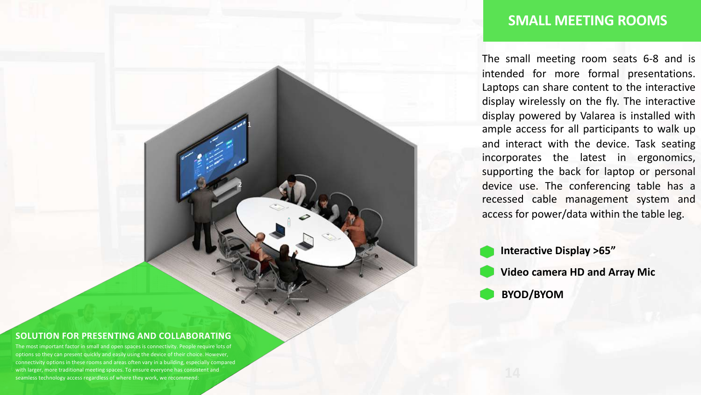### **SMALL MEETING ROOMS**

The small meeting room seats 6-8 and is intended for more formal presentations. Laptops can share content to the interactive display wirelessly on the fly. The interactive display powered by Valarea is installed with ample access for all participants to walk up and interact with the device. Task seating incorporates the latest in ergonomics, supporting the back for laptop or personal device use. The conferencing table has a recessed cable management system and access for power/data within the table leg.

**Interactive Display >65" Video camera HD and Array Mic BYOD/BYOM**

#### **SOLUTION FOR PRESENTING AND COLLABORATING**

1

2

The most important factor in small and open spaces is connectivity. People require lots of options so they can present quickly and easily using the device of their choice. However, connectivity options in these rooms and areas often vary in a building, especially compared with larger, more traditional meeting spaces. To ensure everyone has consistent and seamless technology access regardless of where they work, we recommend: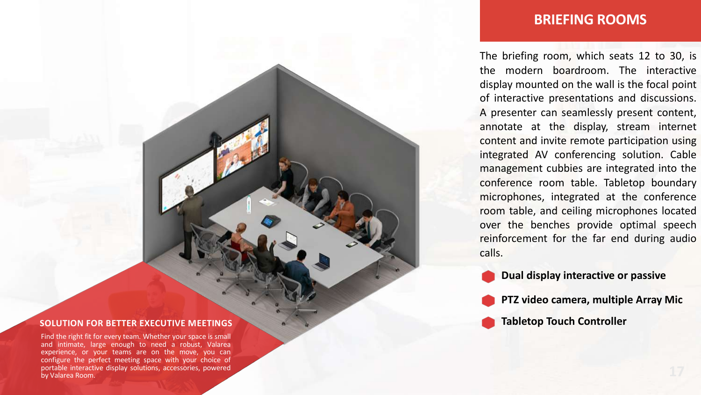#### **SOLUTION FOR BETTER EXECUTIVE MEETINGS**

Find the right fit for every team. Whether your space is small and intimate, large enough to need a robust, Valarea configure the perfect meeting space with your choice of portable interactive display solutions, accessories, powered by Valarea Room.

### **BRIEFING ROOMS**

The briefing room, which seats 12 to 30, is the modern boardroom. The interactive display mounted on the wall is the focal point of interactive presentations and discussions. A presenter can seamlessly present content, annotate at the display, stream internet content and invite remote participation using integrated AV conferencing solution. Cable management cubbies are integrated into the conference room table. Tabletop boundary microphones, integrated at the conference room table, and ceiling microphones located over the benches provide optimal speech reinforcement for the far end during audio calls.

**Dual display interactive or passive**

**PTZ video camera, multiple Array Mic**

**Tabletop Touch Controller**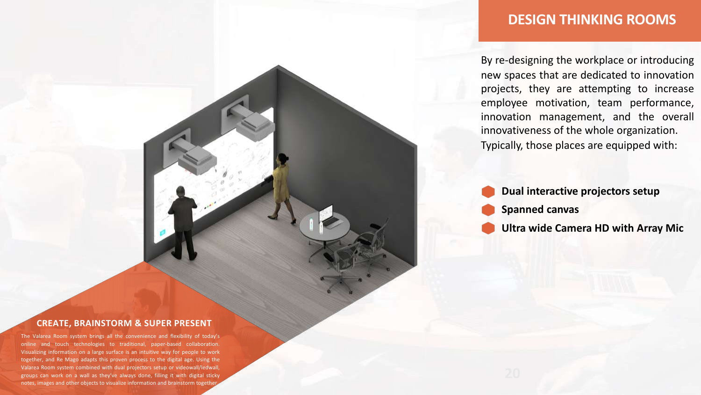## **DESIGN THINKING ROOMS**

By re-designing the workplace or introducing new spaces that are dedicated to innovation projects, they are attempting to increase employee motivation, team performance, innovation management, and the overall innovativeness of the whole organization. Typically, those places are equipped with:

**Dual interactive projectors setup Spanned canvas Ultra wide Camera HD with Array Mic**

#### **CREATE, BRAINSTORM & SUPER PRESENT**

The Valarea Room system brings all the convenience and flexibility of today's online and touch technologies to traditional, paper-based collaboration. Visualizing information on a large surface is an intuitive way for people to work together, and Re Mago adapts this proven process to the digital age. Using the Valarea Room system combined with dual projectors setup or videowall/ledwall, groups can work on a wall as they've always done, filling it with digital sticky notes, images and other objects to visualize information and brainstorm togethe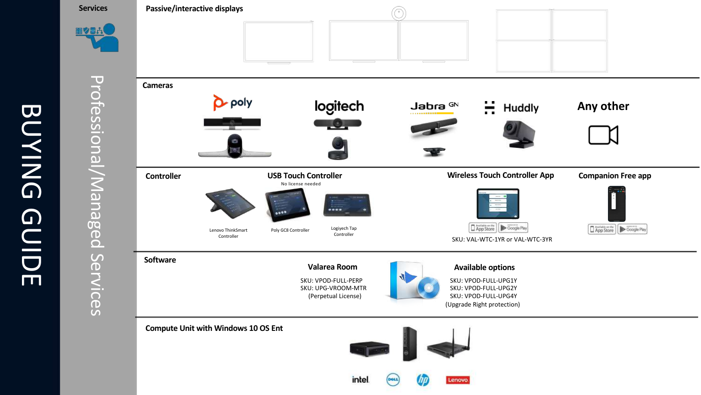